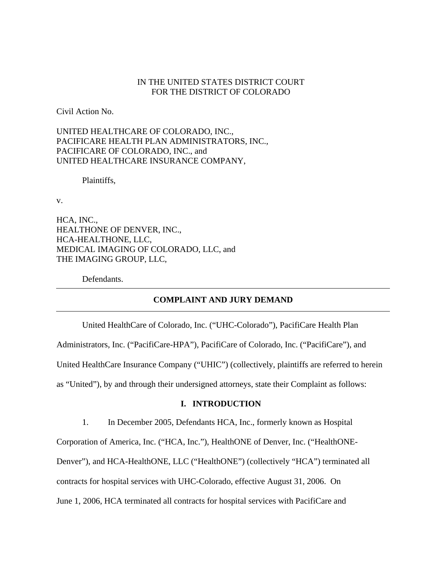### IN THE UNITED STATES DISTRICT COURT FOR THE DISTRICT OF COLORADO

Civil Action No.

UNITED HEALTHCARE OF COLORADO, INC., PACIFICARE HEALTH PLAN ADMINISTRATORS, INC., PACIFICARE OF COLORADO, INC., and UNITED HEALTHCARE INSURANCE COMPANY,

Plaintiffs,

v.

HCA, INC., HEALTHONE OF DENVER, INC., HCA-HEALTHONE, LLC, MEDICAL IMAGING OF COLORADO, LLC, and THE IMAGING GROUP, LLC,

Defendants.

# **COMPLAINT AND JURY DEMAND**

United HealthCare of Colorado, Inc. ("UHC-Colorado"), PacifiCare Health Plan

Administrators, Inc. ("PacifiCare-HPA"), PacifiCare of Colorado, Inc. ("PacifiCare"), and

United HealthCare Insurance Company ("UHIC") (collectively, plaintiffs are referred to herein

as "United"), by and through their undersigned attorneys, state their Complaint as follows:

# **I. INTRODUCTION**

1. In December 2005, Defendants HCA, Inc., formerly known as Hospital

Corporation of America, Inc. ("HCA, Inc."), HealthONE of Denver, Inc. ("HealthONE-

Denver"), and HCA-HealthONE, LLC ("HealthONE") (collectively "HCA") terminated all

contracts for hospital services with UHC-Colorado, effective August 31, 2006. On

June 1, 2006, HCA terminated all contracts for hospital services with PacifiCare and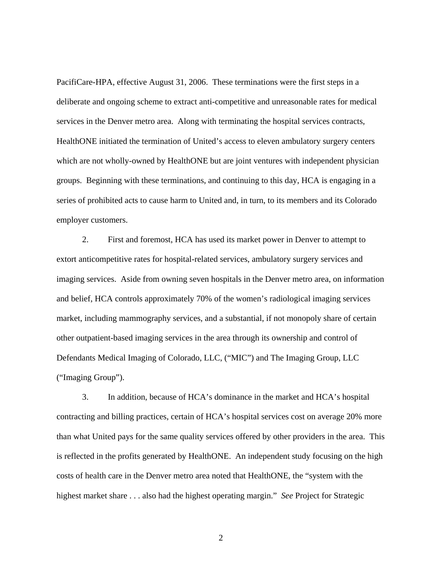PacifiCare-HPA, effective August 31, 2006. These terminations were the first steps in a deliberate and ongoing scheme to extract anti-competitive and unreasonable rates for medical services in the Denver metro area. Along with terminating the hospital services contracts, HealthONE initiated the termination of United's access to eleven ambulatory surgery centers which are not wholly-owned by HealthONE but are joint ventures with independent physician groups. Beginning with these terminations, and continuing to this day, HCA is engaging in a series of prohibited acts to cause harm to United and, in turn, to its members and its Colorado employer customers.

2. First and foremost, HCA has used its market power in Denver to attempt to extort anticompetitive rates for hospital-related services, ambulatory surgery services and imaging services. Aside from owning seven hospitals in the Denver metro area, on information and belief, HCA controls approximately 70% of the women's radiological imaging services market, including mammography services, and a substantial, if not monopoly share of certain other outpatient-based imaging services in the area through its ownership and control of Defendants Medical Imaging of Colorado, LLC, ("MIC") and The Imaging Group, LLC ("Imaging Group").

3. In addition, because of HCA's dominance in the market and HCA's hospital contracting and billing practices, certain of HCA's hospital services cost on average 20% more than what United pays for the same quality services offered by other providers in the area. This is reflected in the profits generated by HealthONE. An independent study focusing on the high costs of health care in the Denver metro area noted that HealthONE, the "system with the highest market share . . . also had the highest operating margin." *See* Project for Strategic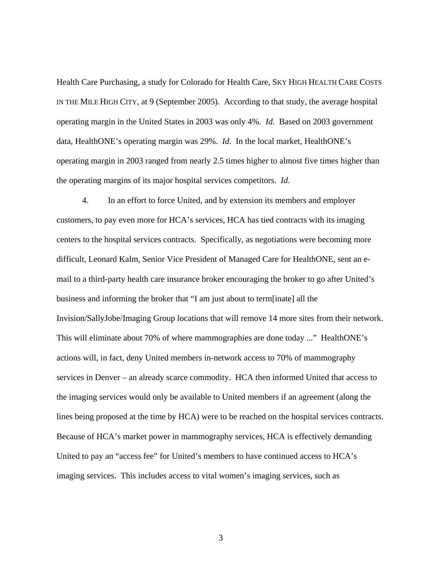Health Care Purchasing, a study for Colorado for Health Care, SKY HIGH HEALTH CARE COSTS IN THE MILE HIGH CITY, at 9 (September 2005). According to that study, the average hospital operating margin in the United States in 2003 was only 4%. *Id*. Based on 2003 government data, HealthONE's operating margin was 29%. *Id.* In the local market, HealthONE's operating margin in 2003 ranged from nearly 2.5 times higher to almost five times higher than the operating margins of its major hospital services competitors. *Id*.

4. In an effort to force United, and by extension its members and employer customers, to pay even more for HCA's services, HCA has tied contracts with its imaging centers to the hospital services contracts. Specifically, as negotiations were becoming more difficult, Leonard Kalm, Senior Vice President of Managed Care for HealthONE, sent an email to a third-party health care insurance broker encouraging the broker to go after United's business and informing the broker that "I am just about to term[inate] all the Invision/SallyJobe/Imaging Group locations that will remove 14 more sites from their network. This will eliminate about 70% of where mammographies are done today ..." HealthONE's actions will, in fact, deny United members in-network access to 70% of mammography services in Denver – an already scarce commodity. HCA then informed United that access to the imaging services would only be available to United members if an agreement (along the lines being proposed at the time by HCA) were to be reached on the hospital services contracts. Because of HCA's market power in mammography services, HCA is effectively demanding United to pay an "access fee" for United's members to have continued access to HCA's imaging services. This includes access to vital women's imaging services, such as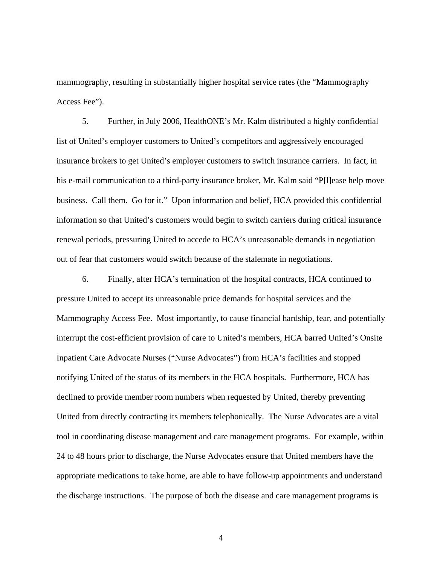mammography, resulting in substantially higher hospital service rates (the "Mammography Access Fee").

5. Further, in July 2006, HealthONE's Mr. Kalm distributed a highly confidential list of United's employer customers to United's competitors and aggressively encouraged insurance brokers to get United's employer customers to switch insurance carriers. In fact, in his e-mail communication to a third-party insurance broker, Mr. Kalm said "P[l]ease help move business. Call them. Go for it." Upon information and belief, HCA provided this confidential information so that United's customers would begin to switch carriers during critical insurance renewal periods, pressuring United to accede to HCA's unreasonable demands in negotiation out of fear that customers would switch because of the stalemate in negotiations.

6. Finally, after HCA's termination of the hospital contracts, HCA continued to pressure United to accept its unreasonable price demands for hospital services and the Mammography Access Fee. Most importantly, to cause financial hardship, fear, and potentially interrupt the cost-efficient provision of care to United's members, HCA barred United's Onsite Inpatient Care Advocate Nurses ("Nurse Advocates") from HCA's facilities and stopped notifying United of the status of its members in the HCA hospitals. Furthermore, HCA has declined to provide member room numbers when requested by United, thereby preventing United from directly contracting its members telephonically. The Nurse Advocates are a vital tool in coordinating disease management and care management programs. For example, within 24 to 48 hours prior to discharge, the Nurse Advocates ensure that United members have the appropriate medications to take home, are able to have follow-up appointments and understand the discharge instructions. The purpose of both the disease and care management programs is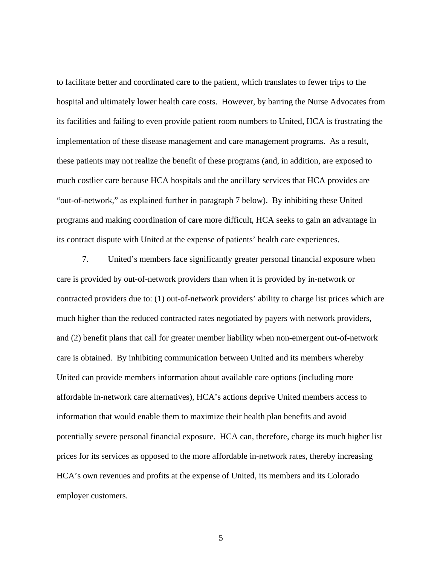to facilitate better and coordinated care to the patient, which translates to fewer trips to the hospital and ultimately lower health care costs. However, by barring the Nurse Advocates from its facilities and failing to even provide patient room numbers to United, HCA is frustrating the implementation of these disease management and care management programs. As a result, these patients may not realize the benefit of these programs (and, in addition, are exposed to much costlier care because HCA hospitals and the ancillary services that HCA provides are "out-of-network," as explained further in paragraph 7 below). By inhibiting these United programs and making coordination of care more difficult, HCA seeks to gain an advantage in its contract dispute with United at the expense of patients' health care experiences.

7. United's members face significantly greater personal financial exposure when care is provided by out-of-network providers than when it is provided by in-network or contracted providers due to: (1) out-of-network providers' ability to charge list prices which are much higher than the reduced contracted rates negotiated by payers with network providers, and (2) benefit plans that call for greater member liability when non-emergent out-of-network care is obtained. By inhibiting communication between United and its members whereby United can provide members information about available care options (including more affordable in-network care alternatives), HCA's actions deprive United members access to information that would enable them to maximize their health plan benefits and avoid potentially severe personal financial exposure. HCA can, therefore, charge its much higher list prices for its services as opposed to the more affordable in-network rates, thereby increasing HCA's own revenues and profits at the expense of United, its members and its Colorado employer customers.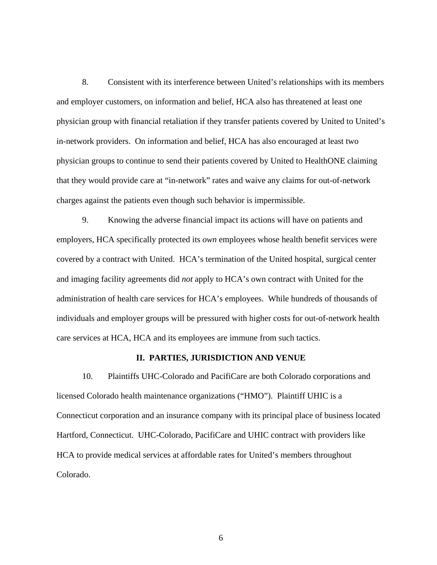8. Consistent with its interference between United's relationships with its members and employer customers, on information and belief, HCA also has threatened at least one physician group with financial retaliation if they transfer patients covered by United to United's in-network providers. On information and belief, HCA has also encouraged at least two physician groups to continue to send their patients covered by United to HealthONE claiming that they would provide care at "in-network" rates and waive any claims for out-of-network charges against the patients even though such behavior is impermissible.

9. Knowing the adverse financial impact its actions will have on patients and employers, HCA specifically protected its *own* employees whose health benefit services were covered by a contract with United. HCA's termination of the United hospital, surgical center and imaging facility agreements did *not* apply to HCA's own contract with United for the administration of health care services for HCA's employees. While hundreds of thousands of individuals and employer groups will be pressured with higher costs for out-of-network health care services at HCA, HCA and its employees are immune from such tactics.

#### **II. PARTIES, JURISDICTION AND VENUE**

10. Plaintiffs UHC-Colorado and PacifiCare are both Colorado corporations and licensed Colorado health maintenance organizations ("HMO"). Plaintiff UHIC is a Connecticut corporation and an insurance company with its principal place of business located Hartford, Connecticut. UHC-Colorado, PacifiCare and UHIC contract with providers like HCA to provide medical services at affordable rates for United's members throughout Colorado.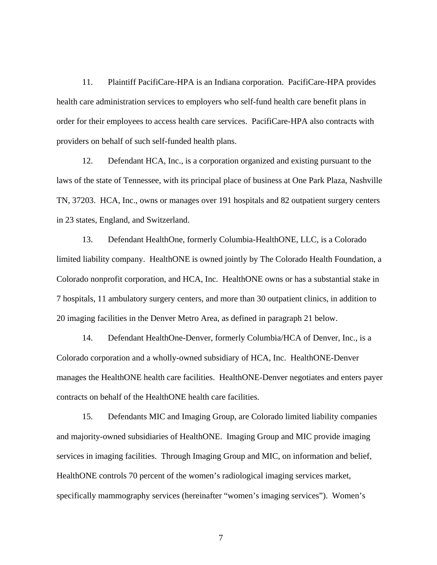11. Plaintiff PacifiCare-HPA is an Indiana corporation. PacifiCare-HPA provides health care administration services to employers who self-fund health care benefit plans in order for their employees to access health care services. PacifiCare-HPA also contracts with providers on behalf of such self-funded health plans.

12. Defendant HCA, Inc., is a corporation organized and existing pursuant to the laws of the state of Tennessee, with its principal place of business at One Park Plaza, Nashville TN, 37203. HCA, Inc., owns or manages over 191 hospitals and 82 outpatient surgery centers in 23 states, England, and Switzerland.

13. Defendant HealthOne, formerly Columbia-HealthONE, LLC, is a Colorado limited liability company. HealthONE is owned jointly by The Colorado Health Foundation, a Colorado nonprofit corporation, and HCA, Inc. HealthONE owns or has a substantial stake in 7 hospitals, 11 ambulatory surgery centers, and more than 30 outpatient clinics, in addition to 20 imaging facilities in the Denver Metro Area, as defined in paragraph 21 below.

14. Defendant HealthOne-Denver, formerly Columbia/HCA of Denver, Inc., is a Colorado corporation and a wholly-owned subsidiary of HCA, Inc. HealthONE-Denver manages the HealthONE health care facilities. HealthONE-Denver negotiates and enters payer contracts on behalf of the HealthONE health care facilities.

15. Defendants MIC and Imaging Group, are Colorado limited liability companies and majority-owned subsidiaries of HealthONE. Imaging Group and MIC provide imaging services in imaging facilities. Through Imaging Group and MIC, on information and belief, HealthONE controls 70 percent of the women's radiological imaging services market, specifically mammography services (hereinafter "women's imaging services"). Women's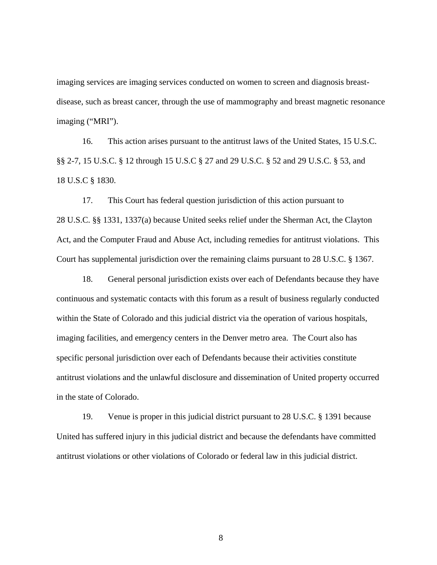imaging services are imaging services conducted on women to screen and diagnosis breastdisease, such as breast cancer, through the use of mammography and breast magnetic resonance imaging ("MRI").

16. This action arises pursuant to the antitrust laws of the United States, 15 U.S.C. §§ 2-7, 15 U.S.C. § 12 through 15 U.S.C § 27 and 29 U.S.C. § 52 and 29 U.S.C. § 53, and 18 U.S.C § 1830.

17. This Court has federal question jurisdiction of this action pursuant to 28 U.S.C. §§ 1331, 1337(a) because United seeks relief under the Sherman Act, the Clayton Act, and the Computer Fraud and Abuse Act, including remedies for antitrust violations. This Court has supplemental jurisdiction over the remaining claims pursuant to 28 U.S.C. § 1367.

18. General personal jurisdiction exists over each of Defendants because they have continuous and systematic contacts with this forum as a result of business regularly conducted within the State of Colorado and this judicial district via the operation of various hospitals, imaging facilities, and emergency centers in the Denver metro area. The Court also has specific personal jurisdiction over each of Defendants because their activities constitute antitrust violations and the unlawful disclosure and dissemination of United property occurred in the state of Colorado.

19. Venue is proper in this judicial district pursuant to 28 U.S.C. § 1391 because United has suffered injury in this judicial district and because the defendants have committed antitrust violations or other violations of Colorado or federal law in this judicial district.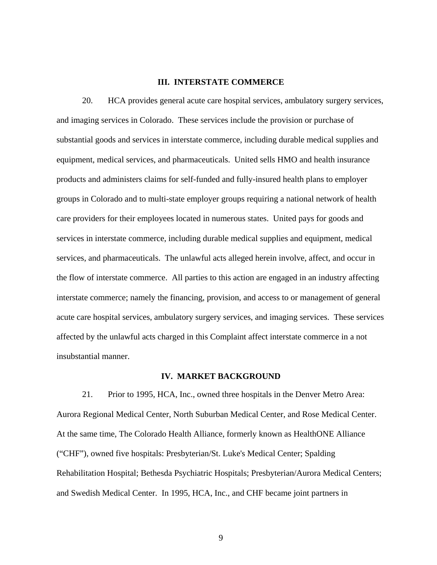### **III. INTERSTATE COMMERCE**

20. HCA provides general acute care hospital services, ambulatory surgery services, and imaging services in Colorado. These services include the provision or purchase of substantial goods and services in interstate commerce, including durable medical supplies and equipment, medical services, and pharmaceuticals. United sells HMO and health insurance products and administers claims for self-funded and fully-insured health plans to employer groups in Colorado and to multi-state employer groups requiring a national network of health care providers for their employees located in numerous states. United pays for goods and services in interstate commerce, including durable medical supplies and equipment, medical services, and pharmaceuticals. The unlawful acts alleged herein involve, affect, and occur in the flow of interstate commerce. All parties to this action are engaged in an industry affecting interstate commerce; namely the financing, provision, and access to or management of general acute care hospital services, ambulatory surgery services, and imaging services. These services affected by the unlawful acts charged in this Complaint affect interstate commerce in a not insubstantial manner.

#### **IV. MARKET BACKGROUND**

21. Prior to 1995, HCA, Inc., owned three hospitals in the Denver Metro Area: Aurora Regional Medical Center, North Suburban Medical Center, and Rose Medical Center. At the same time, The Colorado Health Alliance, formerly known as HealthONE Alliance ("CHF"), owned five hospitals: Presbyterian/St. Luke's Medical Center; Spalding Rehabilitation Hospital; Bethesda Psychiatric Hospitals; Presbyterian/Aurora Medical Centers; and Swedish Medical Center. In 1995, HCA, Inc., and CHF became joint partners in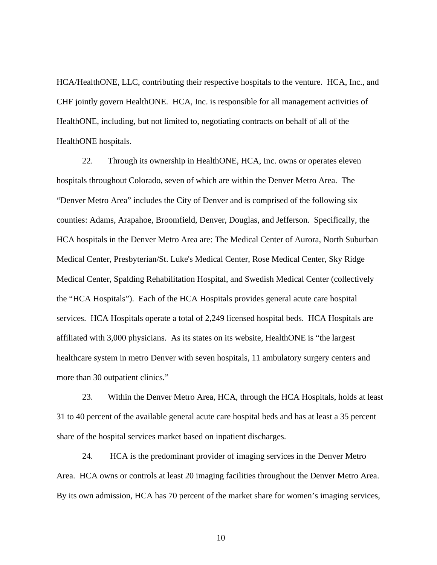HCA/HealthONE, LLC, contributing their respective hospitals to the venture. HCA, Inc., and CHF jointly govern HealthONE. HCA, Inc. is responsible for all management activities of HealthONE, including, but not limited to, negotiating contracts on behalf of all of the HealthONE hospitals.

22. Through its ownership in HealthONE, HCA, Inc. owns or operates eleven hospitals throughout Colorado, seven of which are within the Denver Metro Area. The "Denver Metro Area" includes the City of Denver and is comprised of the following six counties: Adams, Arapahoe, Broomfield, Denver, Douglas, and Jefferson. Specifically, the HCA hospitals in the Denver Metro Area are: The Medical Center of Aurora, North Suburban Medical Center, Presbyterian/St. Luke's Medical Center, Rose Medical Center, Sky Ridge Medical Center, Spalding Rehabilitation Hospital, and Swedish Medical Center (collectively the "HCA Hospitals"). Each of the HCA Hospitals provides general acute care hospital services. HCA Hospitals operate a total of 2,249 licensed hospital beds. HCA Hospitals are affiliated with 3,000 physicians. As its states on its website, HealthONE is "the largest healthcare system in metro Denver with seven hospitals, 11 ambulatory surgery centers and more than 30 outpatient clinics."

23. Within the Denver Metro Area, HCA, through the HCA Hospitals, holds at least 31 to 40 percent of the available general acute care hospital beds and has at least a 35 percent share of the hospital services market based on inpatient discharges.

24. HCA is the predominant provider of imaging services in the Denver Metro Area. HCA owns or controls at least 20 imaging facilities throughout the Denver Metro Area. By its own admission, HCA has 70 percent of the market share for women's imaging services,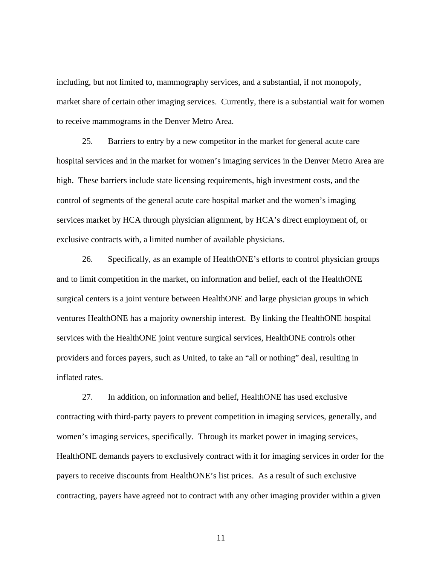including, but not limited to, mammography services, and a substantial, if not monopoly, market share of certain other imaging services. Currently, there is a substantial wait for women to receive mammograms in the Denver Metro Area.

25. Barriers to entry by a new competitor in the market for general acute care hospital services and in the market for women's imaging services in the Denver Metro Area are high. These barriers include state licensing requirements, high investment costs, and the control of segments of the general acute care hospital market and the women's imaging services market by HCA through physician alignment, by HCA's direct employment of, or exclusive contracts with, a limited number of available physicians.

26. Specifically, as an example of HealthONE's efforts to control physician groups and to limit competition in the market, on information and belief, each of the HealthONE surgical centers is a joint venture between HealthONE and large physician groups in which ventures HealthONE has a majority ownership interest. By linking the HealthONE hospital services with the HealthONE joint venture surgical services, HealthONE controls other providers and forces payers, such as United, to take an "all or nothing" deal, resulting in inflated rates.

27. In addition, on information and belief, HealthONE has used exclusive contracting with third-party payers to prevent competition in imaging services, generally, and women's imaging services, specifically. Through its market power in imaging services, HealthONE demands payers to exclusively contract with it for imaging services in order for the payers to receive discounts from HealthONE's list prices. As a result of such exclusive contracting, payers have agreed not to contract with any other imaging provider within a given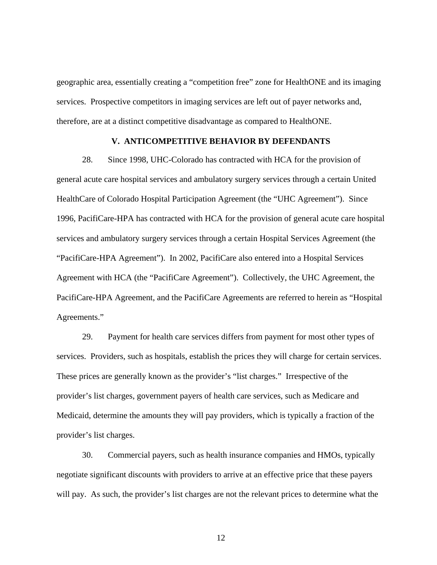geographic area, essentially creating a "competition free" zone for HealthONE and its imaging services. Prospective competitors in imaging services are left out of payer networks and, therefore, are at a distinct competitive disadvantage as compared to HealthONE.

### **V. ANTICOMPETITIVE BEHAVIOR BY DEFENDANTS**

28. Since 1998, UHC-Colorado has contracted with HCA for the provision of general acute care hospital services and ambulatory surgery services through a certain United HealthCare of Colorado Hospital Participation Agreement (the "UHC Agreement"). Since 1996, PacifiCare-HPA has contracted with HCA for the provision of general acute care hospital services and ambulatory surgery services through a certain Hospital Services Agreement (the "PacifiCare-HPA Agreement"). In 2002, PacifiCare also entered into a Hospital Services Agreement with HCA (the "PacifiCare Agreement"). Collectively, the UHC Agreement, the PacifiCare-HPA Agreement, and the PacifiCare Agreements are referred to herein as "Hospital Agreements."

29. Payment for health care services differs from payment for most other types of services. Providers, such as hospitals, establish the prices they will charge for certain services. These prices are generally known as the provider's "list charges." Irrespective of the provider's list charges, government payers of health care services, such as Medicare and Medicaid, determine the amounts they will pay providers, which is typically a fraction of the provider's list charges.

30. Commercial payers, such as health insurance companies and HMOs, typically negotiate significant discounts with providers to arrive at an effective price that these payers will pay. As such, the provider's list charges are not the relevant prices to determine what the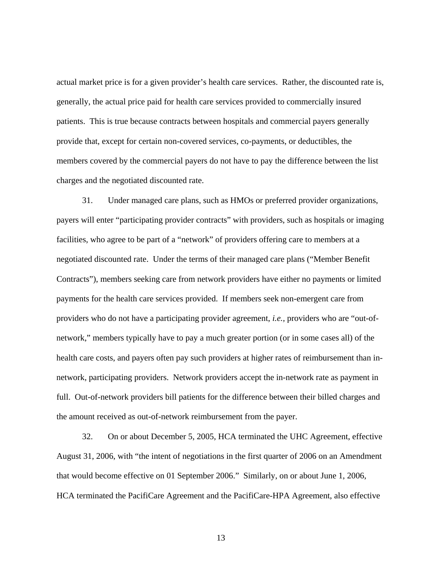actual market price is for a given provider's health care services. Rather, the discounted rate is, generally, the actual price paid for health care services provided to commercially insured patients. This is true because contracts between hospitals and commercial payers generally provide that, except for certain non-covered services, co-payments, or deductibles, the members covered by the commercial payers do not have to pay the difference between the list charges and the negotiated discounted rate.

31. Under managed care plans, such as HMOs or preferred provider organizations, payers will enter "participating provider contracts" with providers, such as hospitals or imaging facilities, who agree to be part of a "network" of providers offering care to members at a negotiated discounted rate. Under the terms of their managed care plans ("Member Benefit Contracts"), members seeking care from network providers have either no payments or limited payments for the health care services provided. If members seek non-emergent care from providers who do not have a participating provider agreement, *i.e.,* providers who are "out-ofnetwork," members typically have to pay a much greater portion (or in some cases all) of the health care costs, and payers often pay such providers at higher rates of reimbursement than innetwork, participating providers. Network providers accept the in-network rate as payment in full. Out-of-network providers bill patients for the difference between their billed charges and the amount received as out-of-network reimbursement from the payer.

32. On or about December 5, 2005, HCA terminated the UHC Agreement, effective August 31, 2006, with "the intent of negotiations in the first quarter of 2006 on an Amendment that would become effective on 01 September 2006." Similarly, on or about June 1, 2006, HCA terminated the PacifiCare Agreement and the PacifiCare-HPA Agreement, also effective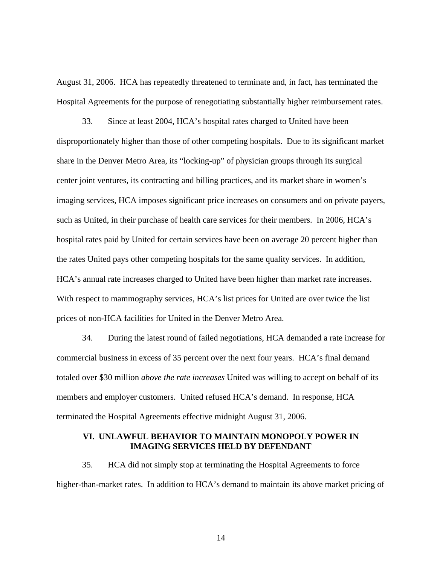August 31, 2006. HCA has repeatedly threatened to terminate and, in fact, has terminated the Hospital Agreements for the purpose of renegotiating substantially higher reimbursement rates.

33. Since at least 2004, HCA's hospital rates charged to United have been disproportionately higher than those of other competing hospitals. Due to its significant market share in the Denver Metro Area, its "locking-up" of physician groups through its surgical center joint ventures, its contracting and billing practices, and its market share in women's imaging services, HCA imposes significant price increases on consumers and on private payers, such as United, in their purchase of health care services for their members. In 2006, HCA's hospital rates paid by United for certain services have been on average 20 percent higher than the rates United pays other competing hospitals for the same quality services. In addition, HCA's annual rate increases charged to United have been higher than market rate increases. With respect to mammography services, HCA's list prices for United are over twice the list prices of non-HCA facilities for United in the Denver Metro Area.

34. During the latest round of failed negotiations, HCA demanded a rate increase for commercial business in excess of 35 percent over the next four years. HCA's final demand totaled over \$30 million *above the rate increases* United was willing to accept on behalf of its members and employer customers. United refused HCA's demand. In response, HCA terminated the Hospital Agreements effective midnight August 31, 2006.

## **VI. UNLAWFUL BEHAVIOR TO MAINTAIN MONOPOLY POWER IN IMAGING SERVICES HELD BY DEFENDANT**

35. HCA did not simply stop at terminating the Hospital Agreements to force higher-than-market rates. In addition to HCA's demand to maintain its above market pricing of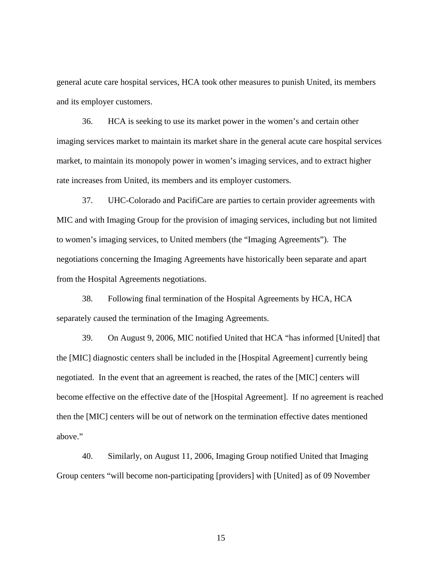general acute care hospital services, HCA took other measures to punish United, its members and its employer customers.

36. HCA is seeking to use its market power in the women's and certain other imaging services market to maintain its market share in the general acute care hospital services market, to maintain its monopoly power in women's imaging services, and to extract higher rate increases from United, its members and its employer customers.

37. UHC-Colorado and PacifiCare are parties to certain provider agreements with MIC and with Imaging Group for the provision of imaging services, including but not limited to women's imaging services, to United members (the "Imaging Agreements"). The negotiations concerning the Imaging Agreements have historically been separate and apart from the Hospital Agreements negotiations.

38. Following final termination of the Hospital Agreements by HCA, HCA separately caused the termination of the Imaging Agreements.

39. On August 9, 2006, MIC notified United that HCA "has informed [United] that the [MIC] diagnostic centers shall be included in the [Hospital Agreement] currently being negotiated. In the event that an agreement is reached, the rates of the [MIC] centers will become effective on the effective date of the [Hospital Agreement]. If no agreement is reached then the [MIC] centers will be out of network on the termination effective dates mentioned above."

40. Similarly, on August 11, 2006, Imaging Group notified United that Imaging Group centers "will become non-participating [providers] with [United] as of 09 November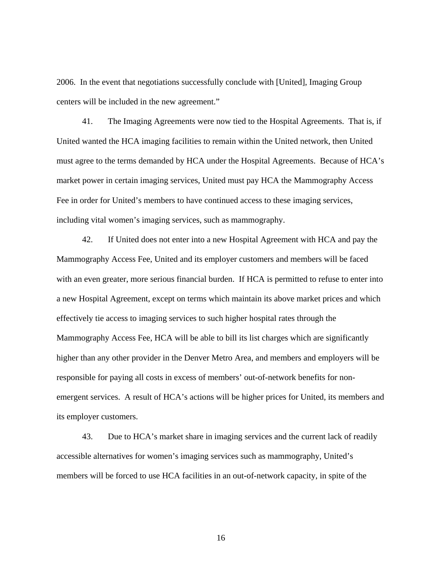2006. In the event that negotiations successfully conclude with [United], Imaging Group centers will be included in the new agreement."

41. The Imaging Agreements were now tied to the Hospital Agreements. That is, if United wanted the HCA imaging facilities to remain within the United network, then United must agree to the terms demanded by HCA under the Hospital Agreements. Because of HCA's market power in certain imaging services, United must pay HCA the Mammography Access Fee in order for United's members to have continued access to these imaging services, including vital women's imaging services, such as mammography.

42. If United does not enter into a new Hospital Agreement with HCA and pay the Mammography Access Fee, United and its employer customers and members will be faced with an even greater, more serious financial burden. If HCA is permitted to refuse to enter into a new Hospital Agreement, except on terms which maintain its above market prices and which effectively tie access to imaging services to such higher hospital rates through the Mammography Access Fee, HCA will be able to bill its list charges which are significantly higher than any other provider in the Denver Metro Area, and members and employers will be responsible for paying all costs in excess of members' out-of-network benefits for nonemergent services. A result of HCA's actions will be higher prices for United, its members and its employer customers.

43. Due to HCA's market share in imaging services and the current lack of readily accessible alternatives for women's imaging services such as mammography, United's members will be forced to use HCA facilities in an out-of-network capacity, in spite of the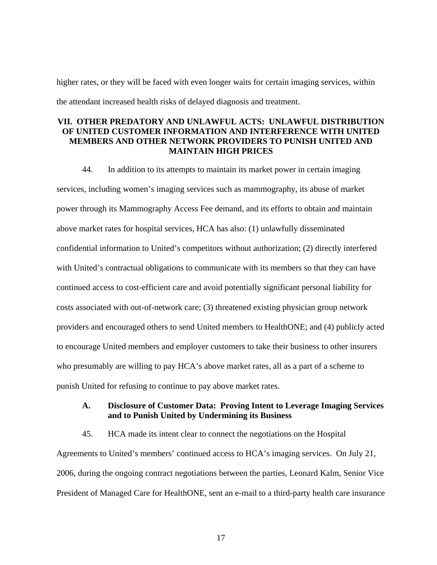higher rates, or they will be faced with even longer waits for certain imaging services, within the attendant increased health risks of delayed diagnosis and treatment.

# **VII. OTHER PREDATORY AND UNLAWFUL ACTS: UNLAWFUL DISTRIBUTION OF UNITED CUSTOMER INFORMATION AND INTERFERENCE WITH UNITED MEMBERS AND OTHER NETWORK PROVIDERS TO PUNISH UNITED AND MAINTAIN HIGH PRICES**

44. In addition to its attempts to maintain its market power in certain imaging services, including women's imaging services such as mammography, its abuse of market power through its Mammography Access Fee demand, and its efforts to obtain and maintain above market rates for hospital services, HCA has also: (1) unlawfully disseminated confidential information to United's competitors without authorization; (2) directly interfered with United's contractual obligations to communicate with its members so that they can have continued access to cost-efficient care and avoid potentially significant personal liability for costs associated with out-of-network care; (3) threatened existing physician group network providers and encouraged others to send United members to HealthONE; and (4) publicly acted to encourage United members and employer customers to take their business to other insurers who presumably are willing to pay HCA's above market rates, all as a part of a scheme to punish United for refusing to continue to pay above market rates.

### **A. Disclosure of Customer Data: Proving Intent to Leverage Imaging Services and to Punish United by Undermining its Business**

45. HCA made its intent clear to connect the negotiations on the Hospital Agreements to United's members' continued access to HCA's imaging services. On July 21, 2006, during the ongoing contract negotiations between the parties, Leonard Kalm, Senior Vice President of Managed Care for HealthONE, sent an e-mail to a third-party health care insurance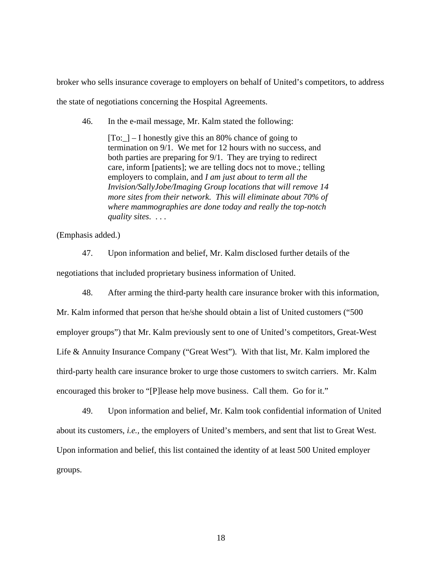broker who sells insurance coverage to employers on behalf of United's competitors, to address the state of negotiations concerning the Hospital Agreements.

46. In the e-mail message, Mr. Kalm stated the following:

 $[T<sub>O</sub>:$ ] – I honestly give this an 80% chance of going to termination on 9/1. We met for 12 hours with no success, and both parties are preparing for 9/1. They are trying to redirect care, inform [patients]; we are telling docs not to move.; telling employers to complain, and *I am just about to term all the Invision/SallyJobe/Imaging Group locations that will remove 14 more sites from their network. This will eliminate about 70% of where mammographies are done today and really the top-notch quality sites*. . . .

(Emphasis added.)

47. Upon information and belief, Mr. Kalm disclosed further details of the negotiations that included proprietary business information of United.

48. After arming the third-party health care insurance broker with this information,

Mr. Kalm informed that person that he/she should obtain a list of United customers ("500 employer groups") that Mr. Kalm previously sent to one of United's competitors, Great-West Life & Annuity Insurance Company ("Great West"). With that list, Mr. Kalm implored the third-party health care insurance broker to urge those customers to switch carriers. Mr. Kalm encouraged this broker to "[P]lease help move business. Call them. Go for it."

49. Upon information and belief, Mr. Kalm took confidential information of United about its customers, *i.e.,* the employers of United's members, and sent that list to Great West. Upon information and belief, this list contained the identity of at least 500 United employer groups.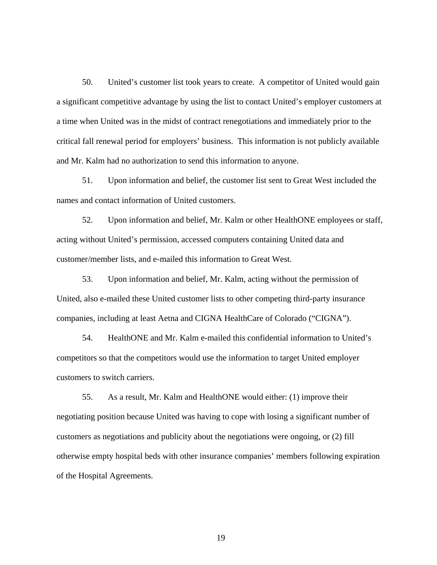50. United's customer list took years to create. A competitor of United would gain a significant competitive advantage by using the list to contact United's employer customers at a time when United was in the midst of contract renegotiations and immediately prior to the critical fall renewal period for employers' business. This information is not publicly available and Mr. Kalm had no authorization to send this information to anyone.

51. Upon information and belief, the customer list sent to Great West included the names and contact information of United customers.

52. Upon information and belief, Mr. Kalm or other HealthONE employees or staff, acting without United's permission, accessed computers containing United data and customer/member lists, and e-mailed this information to Great West.

53. Upon information and belief, Mr. Kalm, acting without the permission of United, also e-mailed these United customer lists to other competing third-party insurance companies, including at least Aetna and CIGNA HealthCare of Colorado ("CIGNA").

54. HealthONE and Mr. Kalm e-mailed this confidential information to United's competitors so that the competitors would use the information to target United employer customers to switch carriers.

55. As a result, Mr. Kalm and HealthONE would either: (1) improve their negotiating position because United was having to cope with losing a significant number of customers as negotiations and publicity about the negotiations were ongoing, or (2) fill otherwise empty hospital beds with other insurance companies' members following expiration of the Hospital Agreements.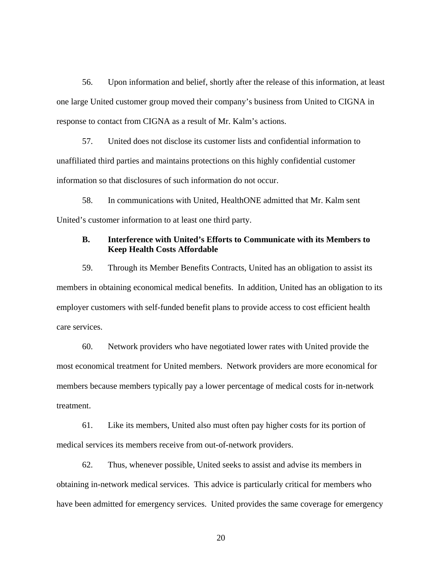56. Upon information and belief, shortly after the release of this information, at least one large United customer group moved their company's business from United to CIGNA in response to contact from CIGNA as a result of Mr. Kalm's actions.

57. United does not disclose its customer lists and confidential information to unaffiliated third parties and maintains protections on this highly confidential customer information so that disclosures of such information do not occur.

58. In communications with United, HealthONE admitted that Mr. Kalm sent United's customer information to at least one third party.

## **B. Interference with United's Efforts to Communicate with its Members to Keep Health Costs Affordable**

59. Through its Member Benefits Contracts, United has an obligation to assist its members in obtaining economical medical benefits. In addition, United has an obligation to its employer customers with self-funded benefit plans to provide access to cost efficient health care services.

60. Network providers who have negotiated lower rates with United provide the most economical treatment for United members. Network providers are more economical for members because members typically pay a lower percentage of medical costs for in-network treatment.

61. Like its members, United also must often pay higher costs for its portion of medical services its members receive from out-of-network providers.

62. Thus, whenever possible, United seeks to assist and advise its members in obtaining in-network medical services. This advice is particularly critical for members who have been admitted for emergency services. United provides the same coverage for emergency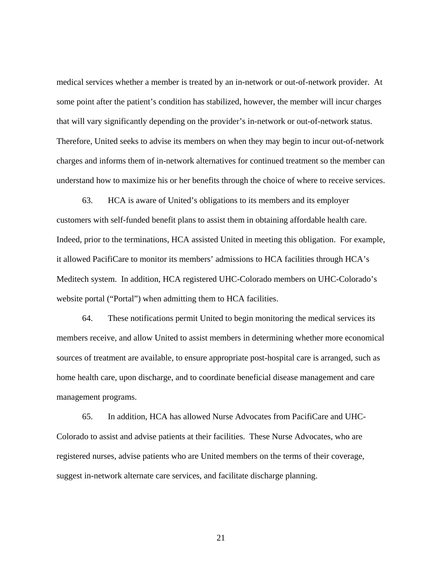medical services whether a member is treated by an in-network or out-of-network provider. At some point after the patient's condition has stabilized, however, the member will incur charges that will vary significantly depending on the provider's in-network or out-of-network status. Therefore, United seeks to advise its members on when they may begin to incur out-of-network charges and informs them of in-network alternatives for continued treatment so the member can understand how to maximize his or her benefits through the choice of where to receive services.

63. HCA is aware of United's obligations to its members and its employer customers with self-funded benefit plans to assist them in obtaining affordable health care. Indeed, prior to the terminations, HCA assisted United in meeting this obligation. For example, it allowed PacifiCare to monitor its members' admissions to HCA facilities through HCA's Meditech system. In addition, HCA registered UHC-Colorado members on UHC-Colorado's website portal ("Portal") when admitting them to HCA facilities.

64. These notifications permit United to begin monitoring the medical services its members receive, and allow United to assist members in determining whether more economical sources of treatment are available, to ensure appropriate post-hospital care is arranged, such as home health care, upon discharge, and to coordinate beneficial disease management and care management programs.

65. In addition, HCA has allowed Nurse Advocates from PacifiCare and UHC-Colorado to assist and advise patients at their facilities. These Nurse Advocates, who are registered nurses, advise patients who are United members on the terms of their coverage, suggest in-network alternate care services, and facilitate discharge planning.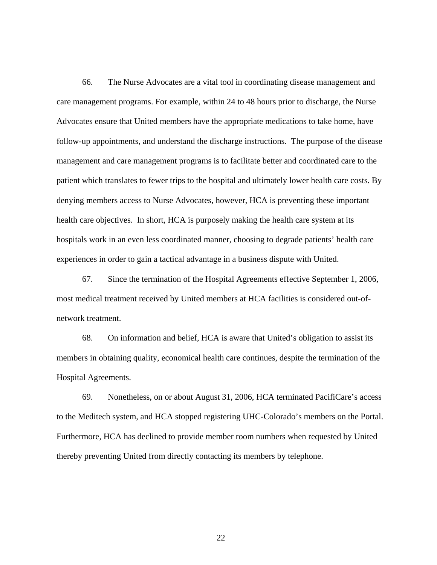66. The Nurse Advocates are a vital tool in coordinating disease management and care management programs. For example, within 24 to 48 hours prior to discharge, the Nurse Advocates ensure that United members have the appropriate medications to take home, have follow-up appointments, and understand the discharge instructions. The purpose of the disease management and care management programs is to facilitate better and coordinated care to the patient which translates to fewer trips to the hospital and ultimately lower health care costs. By denying members access to Nurse Advocates, however, HCA is preventing these important health care objectives. In short, HCA is purposely making the health care system at its hospitals work in an even less coordinated manner, choosing to degrade patients' health care experiences in order to gain a tactical advantage in a business dispute with United.

67. Since the termination of the Hospital Agreements effective September 1, 2006, most medical treatment received by United members at HCA facilities is considered out-ofnetwork treatment.

68. On information and belief, HCA is aware that United's obligation to assist its members in obtaining quality, economical health care continues, despite the termination of the Hospital Agreements.

69. Nonetheless, on or about August 31, 2006, HCA terminated PacifiCare's access to the Meditech system, and HCA stopped registering UHC-Colorado's members on the Portal. Furthermore, HCA has declined to provide member room numbers when requested by United thereby preventing United from directly contacting its members by telephone.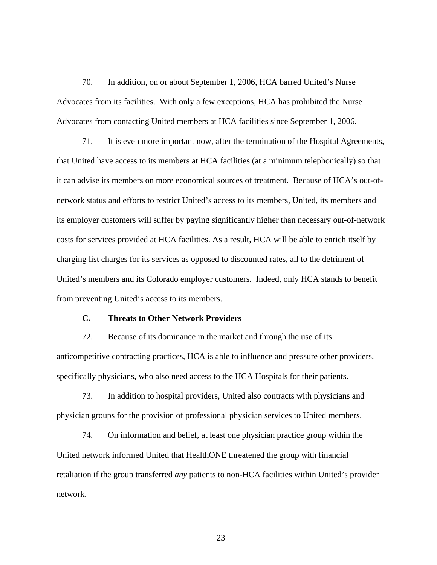70. In addition, on or about September 1, 2006, HCA barred United's Nurse Advocates from its facilities. With only a few exceptions, HCA has prohibited the Nurse Advocates from contacting United members at HCA facilities since September 1, 2006.

71. It is even more important now, after the termination of the Hospital Agreements, that United have access to its members at HCA facilities (at a minimum telephonically) so that it can advise its members on more economical sources of treatment. Because of HCA's out-ofnetwork status and efforts to restrict United's access to its members, United, its members and its employer customers will suffer by paying significantly higher than necessary out-of-network costs for services provided at HCA facilities. As a result, HCA will be able to enrich itself by charging list charges for its services as opposed to discounted rates, all to the detriment of United's members and its Colorado employer customers. Indeed, only HCA stands to benefit from preventing United's access to its members.

#### **C. Threats to Other Network Providers**

72. Because of its dominance in the market and through the use of its anticompetitive contracting practices, HCA is able to influence and pressure other providers, specifically physicians, who also need access to the HCA Hospitals for their patients.

73. In addition to hospital providers, United also contracts with physicians and physician groups for the provision of professional physician services to United members.

74. On information and belief, at least one physician practice group within the United network informed United that HealthONE threatened the group with financial retaliation if the group transferred *any* patients to non-HCA facilities within United's provider network.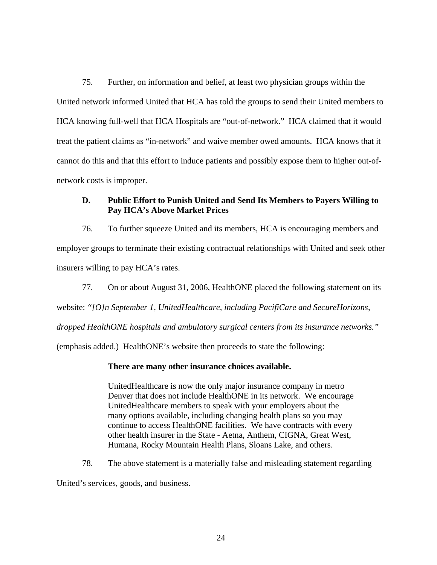75. Further, on information and belief, at least two physician groups within the United network informed United that HCA has told the groups to send their United members to HCA knowing full-well that HCA Hospitals are "out-of-network." HCA claimed that it would treat the patient claims as "in-network" and waive member owed amounts. HCA knows that it cannot do this and that this effort to induce patients and possibly expose them to higher out-ofnetwork costs is improper.

## **D. Public Effort to Punish United and Send Its Members to Payers Willing to Pay HCA's Above Market Prices**

76. To further squeeze United and its members, HCA is encouraging members and employer groups to terminate their existing contractual relationships with United and seek other insurers willing to pay HCA's rates.

77. On or about August 31, 2006, HealthONE placed the following statement on its website: *"[O]n September 1, UnitedHealthcare, including PacifiCare and SecureHorizons, dropped HealthONE hospitals and ambulatory surgical centers from its insurance networks."* (emphasis added.) HealthONE's website then proceeds to state the following:

**There are many other insurance choices available.** 

UnitedHealthcare is now the only major insurance company in metro Denver that does not include HealthONE in its network. We encourage UnitedHealthcare members to speak with your employers about the many options available, including changing health plans so you may continue to access HealthONE facilities. We have contracts with every other health insurer in the State - Aetna, Anthem, CIGNA, Great West, Humana, Rocky Mountain Health Plans, Sloans Lake, and others.

78. The above statement is a materially false and misleading statement regarding

United's services, goods, and business.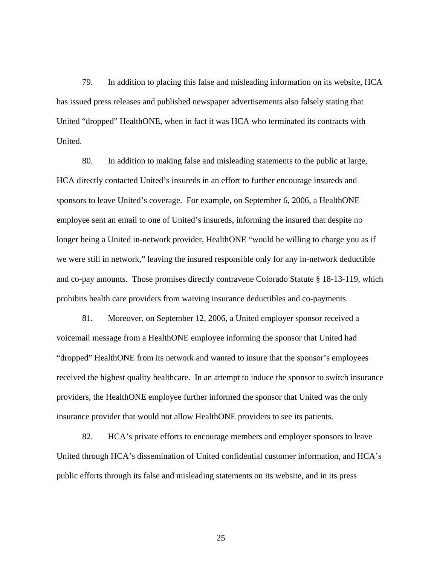79. In addition to placing this false and misleading information on its website, HCA has issued press releases and published newspaper advertisements also falsely stating that United "dropped" HealthONE, when in fact it was HCA who terminated its contracts with United.

80. In addition to making false and misleading statements to the public at large, HCA directly contacted United's insureds in an effort to further encourage insureds and sponsors to leave United's coverage. For example, on September 6, 2006, a HealthONE employee sent an email to one of United's insureds, informing the insured that despite no longer being a United in-network provider, HealthONE "would be willing to charge you as if we were still in network," leaving the insured responsible only for any in-network deductible and co-pay amounts. Those promises directly contravene Colorado Statute § 18-13-119, which prohibits health care providers from waiving insurance deductibles and co-payments.

81. Moreover, on September 12, 2006, a United employer sponsor received a voicemail message from a HealthONE employee informing the sponsor that United had "dropped" HealthONE from its network and wanted to insure that the sponsor's employees received the highest quality healthcare. In an attempt to induce the sponsor to switch insurance providers, the HealthONE employee further informed the sponsor that United was the only insurance provider that would not allow HealthONE providers to see its patients.

82. HCA's private efforts to encourage members and employer sponsors to leave United through HCA's dissemination of United confidential customer information, and HCA's public efforts through its false and misleading statements on its website, and in its press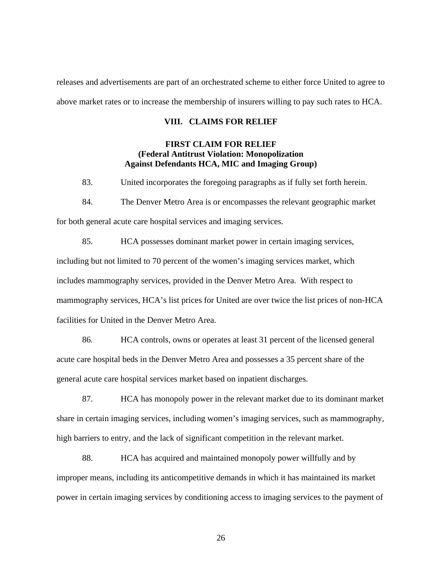releases and advertisements are part of an orchestrated scheme to either force United to agree to above market rates or to increase the membership of insurers willing to pay such rates to HCA.

### **VIII. CLAIMS FOR RELIEF**

### **FIRST CLAIM FOR RELIEF (Federal Antitrust Violation: Monopolization Against Defendants HCA, MIC and Imaging Group)**

83. United incorporates the foregoing paragraphs as if fully set forth herein.

84. The Denver Metro Area is or encompasses the relevant geographic market for both general acute care hospital services and imaging services.

85. HCA possesses dominant market power in certain imaging services, including but not limited to 70 percent of the women's imaging services market, which includes mammography services, provided in the Denver Metro Area. With respect to mammography services, HCA's list prices for United are over twice the list prices of non-HCA facilities for United in the Denver Metro Area.

86. HCA controls, owns or operates at least 31 percent of the licensed general acute care hospital beds in the Denver Metro Area and possesses a 35 percent share of the general acute care hospital services market based on inpatient discharges.

87. HCA has monopoly power in the relevant market due to its dominant market share in certain imaging services, including women's imaging services, such as mammography, high barriers to entry, and the lack of significant competition in the relevant market.

88. HCA has acquired and maintained monopoly power willfully and by improper means, including its anticompetitive demands in which it has maintained its market power in certain imaging services by conditioning access to imaging services to the payment of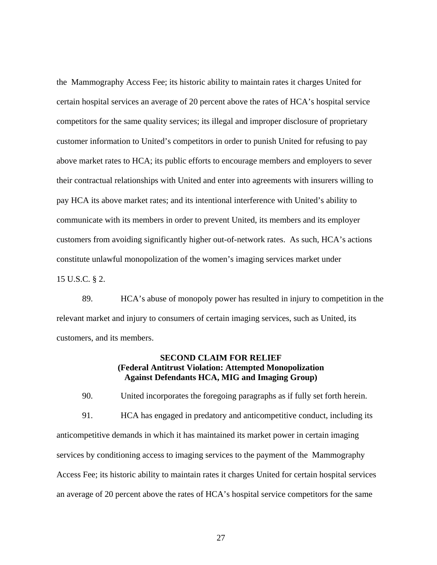the Mammography Access Fee; its historic ability to maintain rates it charges United for certain hospital services an average of 20 percent above the rates of HCA's hospital service competitors for the same quality services; its illegal and improper disclosure of proprietary customer information to United's competitors in order to punish United for refusing to pay above market rates to HCA; its public efforts to encourage members and employers to sever their contractual relationships with United and enter into agreements with insurers willing to pay HCA its above market rates; and its intentional interference with United's ability to communicate with its members in order to prevent United, its members and its employer customers from avoiding significantly higher out-of-network rates. As such, HCA's actions constitute unlawful monopolization of the women's imaging services market under

15 U.S.C. § 2.

89. HCA's abuse of monopoly power has resulted in injury to competition in the relevant market and injury to consumers of certain imaging services, such as United, its customers, and its members.

# **SECOND CLAIM FOR RELIEF (Federal Antitrust Violation: Attempted Monopolization Against Defendants HCA, MIG and Imaging Group)**

90. United incorporates the foregoing paragraphs as if fully set forth herein.

91. HCA has engaged in predatory and anticompetitive conduct, including its anticompetitive demands in which it has maintained its market power in certain imaging services by conditioning access to imaging services to the payment of the Mammography Access Fee; its historic ability to maintain rates it charges United for certain hospital services an average of 20 percent above the rates of HCA's hospital service competitors for the same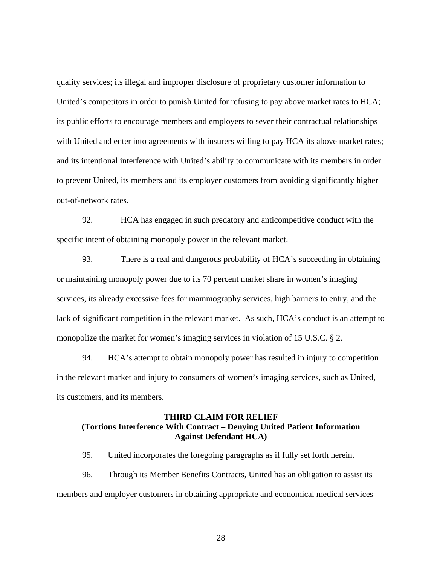quality services; its illegal and improper disclosure of proprietary customer information to United's competitors in order to punish United for refusing to pay above market rates to HCA; its public efforts to encourage members and employers to sever their contractual relationships with United and enter into agreements with insurers willing to pay HCA its above market rates; and its intentional interference with United's ability to communicate with its members in order to prevent United, its members and its employer customers from avoiding significantly higher out-of-network rates.

92. HCA has engaged in such predatory and anticompetitive conduct with the specific intent of obtaining monopoly power in the relevant market.

93. There is a real and dangerous probability of HCA's succeeding in obtaining or maintaining monopoly power due to its 70 percent market share in women's imaging services, its already excessive fees for mammography services, high barriers to entry, and the lack of significant competition in the relevant market. As such, HCA's conduct is an attempt to monopolize the market for women's imaging services in violation of 15 U.S.C. § 2.

94. HCA's attempt to obtain monopoly power has resulted in injury to competition in the relevant market and injury to consumers of women's imaging services, such as United, its customers, and its members.

# **THIRD CLAIM FOR RELIEF (Tortious Interference With Contract – Denying United Patient Information Against Defendant HCA)**

95. United incorporates the foregoing paragraphs as if fully set forth herein.

96. Through its Member Benefits Contracts, United has an obligation to assist its members and employer customers in obtaining appropriate and economical medical services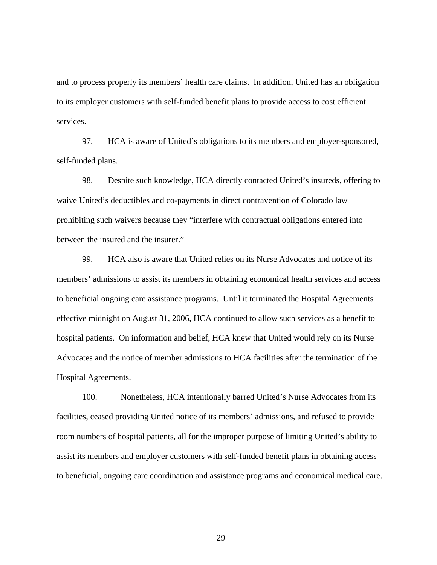and to process properly its members' health care claims. In addition, United has an obligation to its employer customers with self-funded benefit plans to provide access to cost efficient services.

97. HCA is aware of United's obligations to its members and employer-sponsored, self-funded plans.

98. Despite such knowledge, HCA directly contacted United's insureds, offering to waive United's deductibles and co-payments in direct contravention of Colorado law prohibiting such waivers because they "interfere with contractual obligations entered into between the insured and the insurer."

99. HCA also is aware that United relies on its Nurse Advocates and notice of its members' admissions to assist its members in obtaining economical health services and access to beneficial ongoing care assistance programs. Until it terminated the Hospital Agreements effective midnight on August 31, 2006, HCA continued to allow such services as a benefit to hospital patients. On information and belief, HCA knew that United would rely on its Nurse Advocates and the notice of member admissions to HCA facilities after the termination of the Hospital Agreements.

100. Nonetheless, HCA intentionally barred United's Nurse Advocates from its facilities, ceased providing United notice of its members' admissions, and refused to provide room numbers of hospital patients, all for the improper purpose of limiting United's ability to assist its members and employer customers with self-funded benefit plans in obtaining access to beneficial, ongoing care coordination and assistance programs and economical medical care.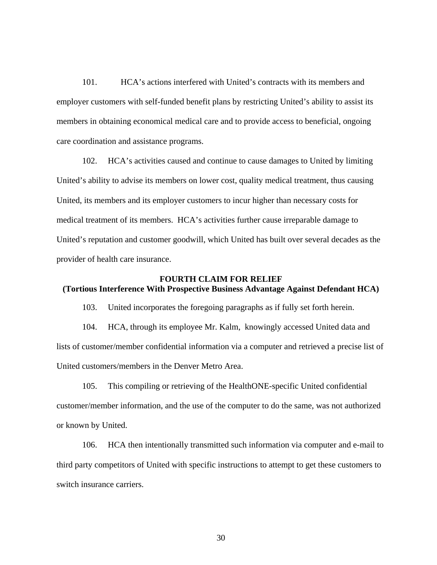101. HCA's actions interfered with United's contracts with its members and employer customers with self-funded benefit plans by restricting United's ability to assist its members in obtaining economical medical care and to provide access to beneficial, ongoing care coordination and assistance programs.

102. HCA's activities caused and continue to cause damages to United by limiting United's ability to advise its members on lower cost, quality medical treatment, thus causing United, its members and its employer customers to incur higher than necessary costs for medical treatment of its members. HCA's activities further cause irreparable damage to United's reputation and customer goodwill, which United has built over several decades as the provider of health care insurance.

### **FOURTH CLAIM FOR RELIEF (Tortious Interference With Prospective Business Advantage Against Defendant HCA)**

103. United incorporates the foregoing paragraphs as if fully set forth herein.

104. HCA, through its employee Mr. Kalm, knowingly accessed United data and lists of customer/member confidential information via a computer and retrieved a precise list of United customers/members in the Denver Metro Area.

105. This compiling or retrieving of the HealthONE-specific United confidential customer/member information, and the use of the computer to do the same, was not authorized or known by United.

106. HCA then intentionally transmitted such information via computer and e-mail to third party competitors of United with specific instructions to attempt to get these customers to switch insurance carriers.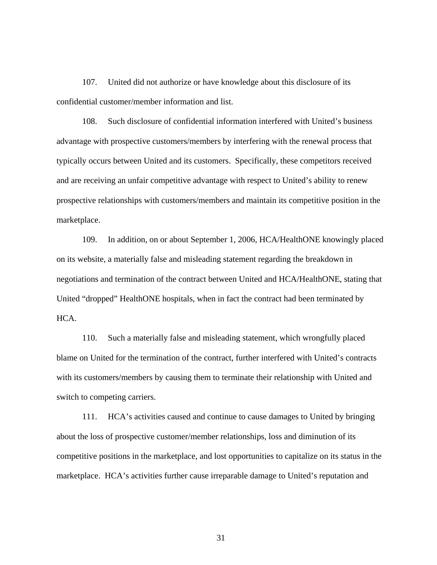107. United did not authorize or have knowledge about this disclosure of its confidential customer/member information and list.

108. Such disclosure of confidential information interfered with United's business advantage with prospective customers/members by interfering with the renewal process that typically occurs between United and its customers. Specifically, these competitors received and are receiving an unfair competitive advantage with respect to United's ability to renew prospective relationships with customers/members and maintain its competitive position in the marketplace.

109. In addition, on or about September 1, 2006, HCA/HealthONE knowingly placed on its website, a materially false and misleading statement regarding the breakdown in negotiations and termination of the contract between United and HCA/HealthONE, stating that United "dropped" HealthONE hospitals, when in fact the contract had been terminated by HCA.

110. Such a materially false and misleading statement, which wrongfully placed blame on United for the termination of the contract, further interfered with United's contracts with its customers/members by causing them to terminate their relationship with United and switch to competing carriers.

111. HCA's activities caused and continue to cause damages to United by bringing about the loss of prospective customer/member relationships, loss and diminution of its competitive positions in the marketplace, and lost opportunities to capitalize on its status in the marketplace. HCA's activities further cause irreparable damage to United's reputation and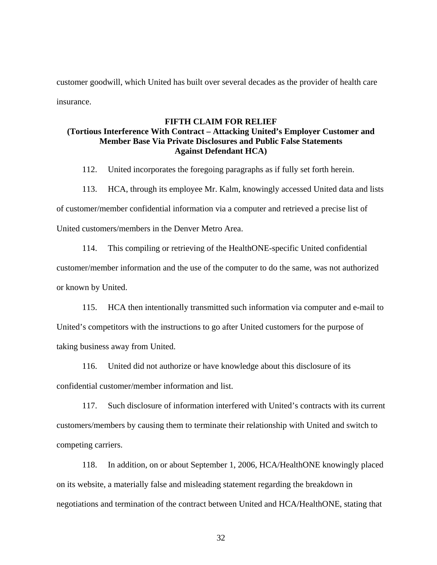customer goodwill, which United has built over several decades as the provider of health care insurance.

# **FIFTH CLAIM FOR RELIEF (Tortious Interference With Contract – Attacking United's Employer Customer and Member Base Via Private Disclosures and Public False Statements Against Defendant HCA)**

112. United incorporates the foregoing paragraphs as if fully set forth herein.

113. HCA, through its employee Mr. Kalm, knowingly accessed United data and lists of customer/member confidential information via a computer and retrieved a precise list of United customers/members in the Denver Metro Area.

114. This compiling or retrieving of the HealthONE-specific United confidential customer/member information and the use of the computer to do the same, was not authorized or known by United.

115. HCA then intentionally transmitted such information via computer and e-mail to United's competitors with the instructions to go after United customers for the purpose of taking business away from United.

116. United did not authorize or have knowledge about this disclosure of its confidential customer/member information and list.

117. Such disclosure of information interfered with United's contracts with its current customers/members by causing them to terminate their relationship with United and switch to competing carriers.

118. In addition, on or about September 1, 2006, HCA/HealthONE knowingly placed on its website, a materially false and misleading statement regarding the breakdown in negotiations and termination of the contract between United and HCA/HealthONE, stating that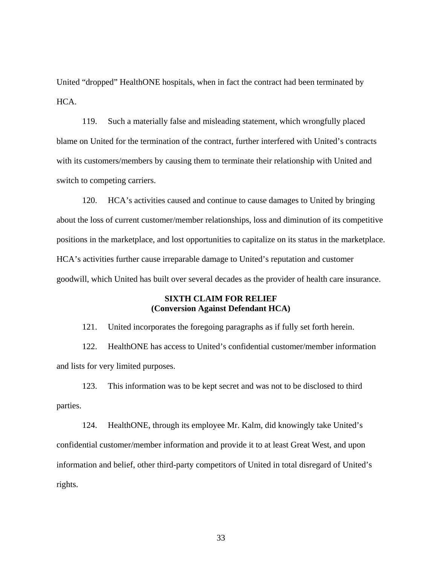United "dropped" HealthONE hospitals, when in fact the contract had been terminated by HCA.

119. Such a materially false and misleading statement, which wrongfully placed blame on United for the termination of the contract, further interfered with United's contracts with its customers/members by causing them to terminate their relationship with United and switch to competing carriers.

120. HCA's activities caused and continue to cause damages to United by bringing about the loss of current customer/member relationships, loss and diminution of its competitive positions in the marketplace, and lost opportunities to capitalize on its status in the marketplace. HCA's activities further cause irreparable damage to United's reputation and customer goodwill, which United has built over several decades as the provider of health care insurance.

### **SIXTH CLAIM FOR RELIEF (Conversion Against Defendant HCA)**

121. United incorporates the foregoing paragraphs as if fully set forth herein.

122. HealthONE has access to United's confidential customer/member information and lists for very limited purposes.

123. This information was to be kept secret and was not to be disclosed to third parties.

124. HealthONE, through its employee Mr. Kalm, did knowingly take United's confidential customer/member information and provide it to at least Great West, and upon information and belief, other third-party competitors of United in total disregard of United's rights.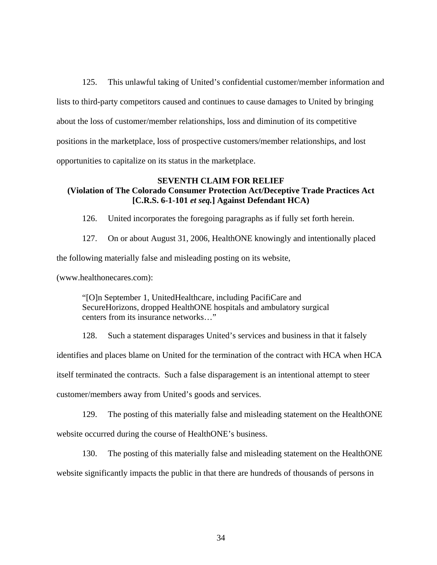125. This unlawful taking of United's confidential customer/member information and lists to third-party competitors caused and continues to cause damages to United by bringing about the loss of customer/member relationships, loss and diminution of its competitive positions in the marketplace, loss of prospective customers/member relationships, and lost opportunities to capitalize on its status in the marketplace.

# **SEVENTH CLAIM FOR RELIEF (Violation of The Colorado Consumer Protection Act/Deceptive Trade Practices Act [C.R.S. 6-1-101** *et seq.***] Against Defendant HCA)**

126. United incorporates the foregoing paragraphs as if fully set forth herein.

127. On or about August 31, 2006, HealthONE knowingly and intentionally placed

the following materially false and misleading posting on its website,

(www.healthonecares.com):

"[O]n September 1, UnitedHealthcare, including PacifiCare and SecureHorizons, dropped HealthONE hospitals and ambulatory surgical centers from its insurance networks…"

128. Such a statement disparages United's services and business in that it falsely

identifies and places blame on United for the termination of the contract with HCA when HCA

itself terminated the contracts. Such a false disparagement is an intentional attempt to steer

customer/members away from United's goods and services.

129. The posting of this materially false and misleading statement on the HealthONE website occurred during the course of HealthONE's business.

130. The posting of this materially false and misleading statement on the HealthONE website significantly impacts the public in that there are hundreds of thousands of persons in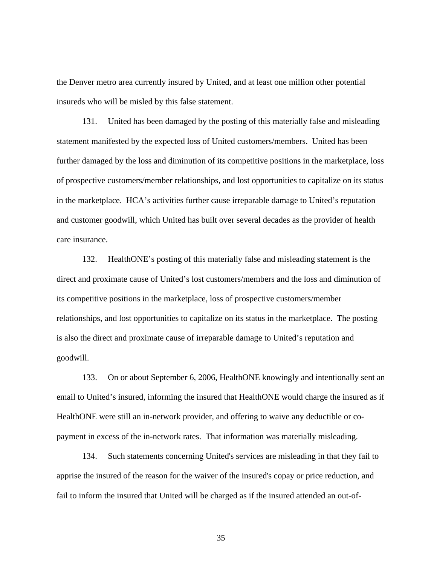the Denver metro area currently insured by United, and at least one million other potential insureds who will be misled by this false statement.

131. United has been damaged by the posting of this materially false and misleading statement manifested by the expected loss of United customers/members. United has been further damaged by the loss and diminution of its competitive positions in the marketplace, loss of prospective customers/member relationships, and lost opportunities to capitalize on its status in the marketplace. HCA's activities further cause irreparable damage to United's reputation and customer goodwill, which United has built over several decades as the provider of health care insurance.

132. HealthONE's posting of this materially false and misleading statement is the direct and proximate cause of United's lost customers/members and the loss and diminution of its competitive positions in the marketplace, loss of prospective customers/member relationships, and lost opportunities to capitalize on its status in the marketplace. The posting is also the direct and proximate cause of irreparable damage to United's reputation and goodwill.

133. On or about September 6, 2006, HealthONE knowingly and intentionally sent an email to United's insured, informing the insured that HealthONE would charge the insured as if HealthONE were still an in-network provider, and offering to waive any deductible or copayment in excess of the in-network rates. That information was materially misleading.

134. Such statements concerning United's services are misleading in that they fail to apprise the insured of the reason for the waiver of the insured's copay or price reduction, and fail to inform the insured that United will be charged as if the insured attended an out-of-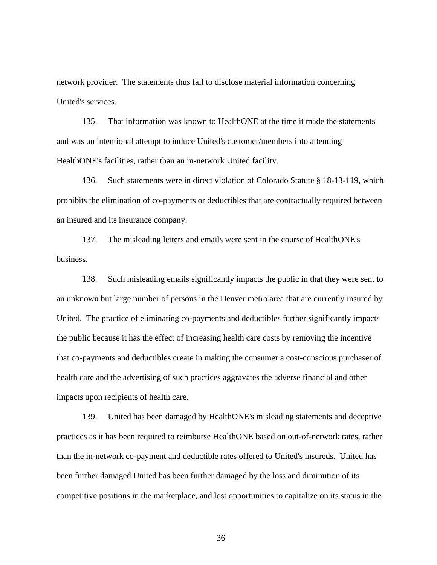network provider. The statements thus fail to disclose material information concerning United's services.

135. That information was known to HealthONE at the time it made the statements and was an intentional attempt to induce United's customer/members into attending HealthONE's facilities, rather than an in-network United facility.

136. Such statements were in direct violation of Colorado Statute § 18-13-119, which prohibits the elimination of co-payments or deductibles that are contractually required between an insured and its insurance company.

137. The misleading letters and emails were sent in the course of HealthONE's business.

138. Such misleading emails significantly impacts the public in that they were sent to an unknown but large number of persons in the Denver metro area that are currently insured by United. The practice of eliminating co-payments and deductibles further significantly impacts the public because it has the effect of increasing health care costs by removing the incentive that co-payments and deductibles create in making the consumer a cost-conscious purchaser of health care and the advertising of such practices aggravates the adverse financial and other impacts upon recipients of health care.

139. United has been damaged by HealthONE's misleading statements and deceptive practices as it has been required to reimburse HealthONE based on out-of-network rates, rather than the in-network co-payment and deductible rates offered to United's insureds. United has been further damaged United has been further damaged by the loss and diminution of its competitive positions in the marketplace, and lost opportunities to capitalize on its status in the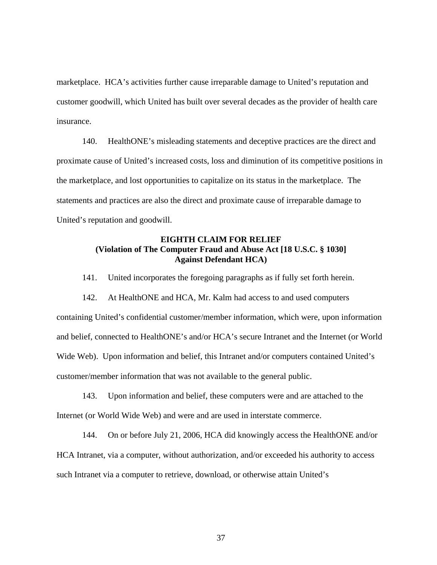marketplace. HCA's activities further cause irreparable damage to United's reputation and customer goodwill, which United has built over several decades as the provider of health care insurance.

140. HealthONE's misleading statements and deceptive practices are the direct and proximate cause of United's increased costs, loss and diminution of its competitive positions in the marketplace, and lost opportunities to capitalize on its status in the marketplace. The statements and practices are also the direct and proximate cause of irreparable damage to United's reputation and goodwill.

## **EIGHTH CLAIM FOR RELIEF (Violation of The Computer Fraud and Abuse Act [18 U.S.C. § 1030] Against Defendant HCA)**

141. United incorporates the foregoing paragraphs as if fully set forth herein.

142. At HealthONE and HCA, Mr. Kalm had access to and used computers containing United's confidential customer/member information, which were, upon information and belief, connected to HealthONE's and/or HCA's secure Intranet and the Internet (or World Wide Web). Upon information and belief, this Intranet and/or computers contained United's customer/member information that was not available to the general public.

143. Upon information and belief, these computers were and are attached to the Internet (or World Wide Web) and were and are used in interstate commerce.

144. On or before July 21, 2006, HCA did knowingly access the HealthONE and/or HCA Intranet, via a computer, without authorization, and/or exceeded his authority to access such Intranet via a computer to retrieve, download, or otherwise attain United's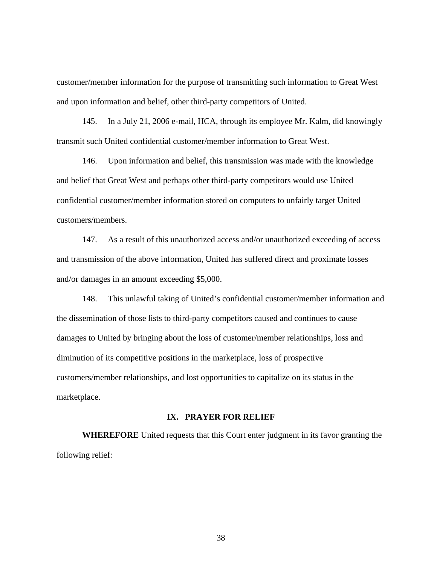customer/member information for the purpose of transmitting such information to Great West and upon information and belief, other third-party competitors of United.

145. In a July 21, 2006 e-mail, HCA, through its employee Mr. Kalm, did knowingly transmit such United confidential customer/member information to Great West.

146. Upon information and belief, this transmission was made with the knowledge and belief that Great West and perhaps other third-party competitors would use United confidential customer/member information stored on computers to unfairly target United customers/members.

147. As a result of this unauthorized access and/or unauthorized exceeding of access and transmission of the above information, United has suffered direct and proximate losses and/or damages in an amount exceeding \$5,000.

148. This unlawful taking of United's confidential customer/member information and the dissemination of those lists to third-party competitors caused and continues to cause damages to United by bringing about the loss of customer/member relationships, loss and diminution of its competitive positions in the marketplace, loss of prospective customers/member relationships, and lost opportunities to capitalize on its status in the marketplace.

#### **IX. PRAYER FOR RELIEF**

**WHEREFORE** United requests that this Court enter judgment in its favor granting the following relief: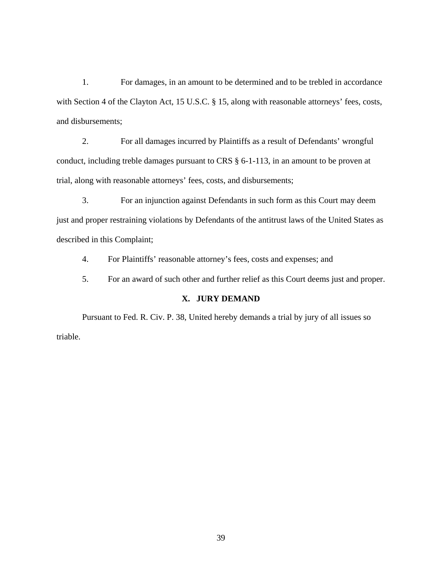1. For damages, in an amount to be determined and to be trebled in accordance with Section 4 of the Clayton Act, 15 U.S.C. § 15, along with reasonable attorneys' fees, costs, and disbursements;

2. For all damages incurred by Plaintiffs as a result of Defendants' wrongful conduct, including treble damages pursuant to CRS § 6-1-113, in an amount to be proven at trial, along with reasonable attorneys' fees, costs, and disbursements;

3. For an injunction against Defendants in such form as this Court may deem just and proper restraining violations by Defendants of the antitrust laws of the United States as described in this Complaint;

4. For Plaintiffs' reasonable attorney's fees, costs and expenses; and

5. For an award of such other and further relief as this Court deems just and proper.

## **X. JURY DEMAND**

Pursuant to Fed. R. Civ. P. 38, United hereby demands a trial by jury of all issues so triable.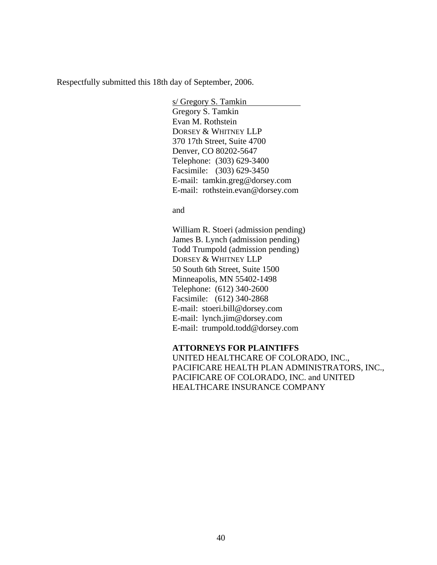Respectfully submitted this 18th day of September, 2006.

s/ Gregory S. Tamkin Gregory S. Tamkin Evan M. Rothstein DORSEY & WHITNEY LLP 370 17th Street, Suite 4700 Denver, CO 80202-5647 Telephone: (303) 629-3400 Facsimile: (303) 629-3450 E-mail: tamkin.greg@dorsey.com E-mail: rothstein.evan@dorsey.com

and

William R. Stoeri (admission pending) James B. Lynch (admission pending) Todd Trumpold (admission pending) DORSEY & WHITNEY LLP 50 South 6th Street, Suite 1500 Minneapolis, MN 55402-1498 Telephone: (612) 340-2600 Facsimile: (612) 340-2868 E-mail: stoeri.bill@dorsey.com E-mail: lynch.jim@dorsey.com E-mail: trumpold.todd@dorsey.com

#### **ATTORNEYS FOR PLAINTIFFS**

UNITED HEALTHCARE OF COLORADO, INC., PACIFICARE HEALTH PLAN ADMINISTRATORS, INC., PACIFICARE OF COLORADO, INC. and UNITED HEALTHCARE INSURANCE COMPANY